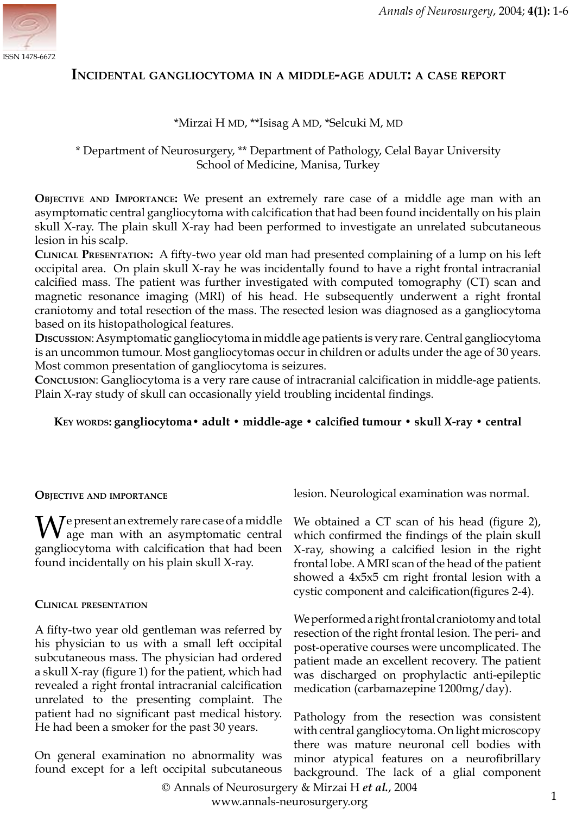

## **INCIDENTAL GANGLIOCYTOMA IN <sup>A</sup> MIDDLE-AGE ADULT: A CASE REPORT**

### \*Mirzai H MD, \*\*Isisag A MD, \*Selcuki M, MD

# \* Department of Neurosurgery, \*\* Department of Pathology, Celal Bayar University School of Medicine, Manisa, Turkey

**OBJECTIVE AND IMPORTANCE:** We present an extremely rare case of a middle age man with an asymptomatic central gangliocytoma with calcification that had been found incidentally on his plain skull X-ray. The plain skull X-ray had been performed to investigate an unrelated subcutaneous lesion in his scalp.

**CLINICAL PRESENTATION:** A fifty-two year old man had presented complaining of a lump on his left occipital area. On plain skull X-ray he was incidentally found to have a right frontal intracranial calcified mass. The patient was further investigated with computed tomography (CT) scan and magnetic resonance imaging (MRI) of his head. He subsequently underwent a right frontal craniotomy and total resection of the mass. The resected lesion was diagnosed as a gangliocytoma based on its histopathological features.

**DISCUSSION**: Asymptomatic gangliocytoma in middle age patients is very rare. Central gangliocytoma is an uncommon tumour. Most gangliocytomas occur in children or adults under the age of 30 years. Most common presentation of gangliocytoma is seizures.

**CONCLUSION**: Gangliocytoma is a very rare cause of intracranial calcification in middle-age patients. Plain X-ray study of skull can occasionally yield troubling incidental findings.

### **KEY WORDS: gangliocytoma• adult • middle-age • calcified tumour • skull X-ray • central**

#### **OBJECTIVE AND IMPORTANCE**

We present an extremely rare case of a middle<br>age man with an asymptomatic central gangliocytoma with calcification that had been found incidentally on his plain skull X-ray.

#### **CLINICAL PRESENTATION**

A fifty-two year old gentleman was referred by his physician to us with a small left occipital subcutaneous mass. The physician had ordered a skull X-ray (figure 1) for the patient, which had revealed a right frontal intracranial calcification unrelated to the presenting complaint. The patient had no significant past medical history. He had been a smoker for the past 30 years.

On general examination no abnormality was found except for a left occipital subcutaneous lesion. Neurological examination was normal.

We obtained a CT scan of his head (figure 2), which confirmed the findings of the plain skull X-ray, showing a calcified lesion in the right frontal lobe. A MRI scan of the head of the patient showed a 4x5x5 cm right frontal lesion with a cystic component and calcification(figures 2-4).

We performed a right frontal craniotomy and total resection of the right frontal lesion. The peri- and post-operative courses were uncomplicated. The patient made an excellent recovery. The patient was discharged on prophylactic anti-epileptic medication (carbamazepine 1200mg/day).

Pathology from the resection was consistent with central gangliocytoma. On light microscopy there was mature neuronal cell bodies with minor atypical features on a neurofibrillary background. The lack of a glial component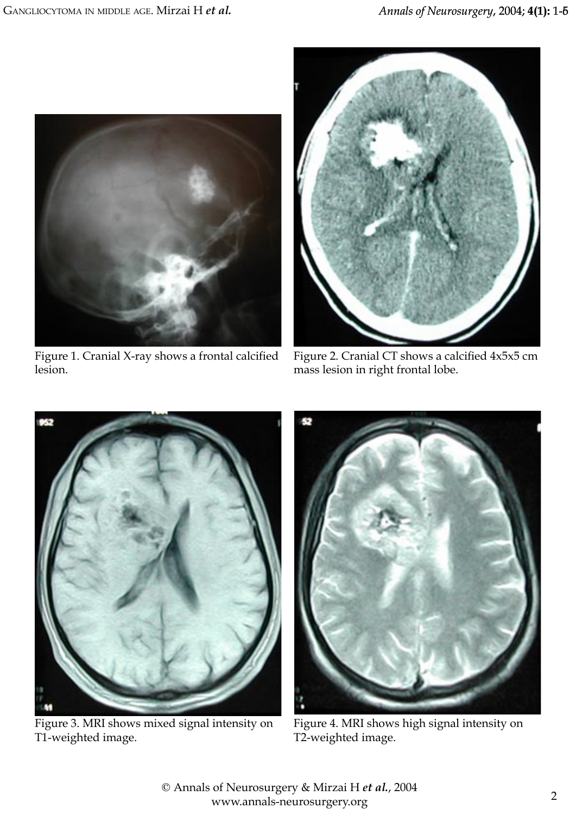

Figure 1. Cranial X-ray shows a frontal calcified lesion.



Figure 2. Cranial CT shows a calcified 4x5x5 cm mass lesion in right frontal lobe.



Figure 3. MRI shows mixed signal intensity on T1-weighted image.



Figure 4. MRI shows high signal intensity on T2-weighted image.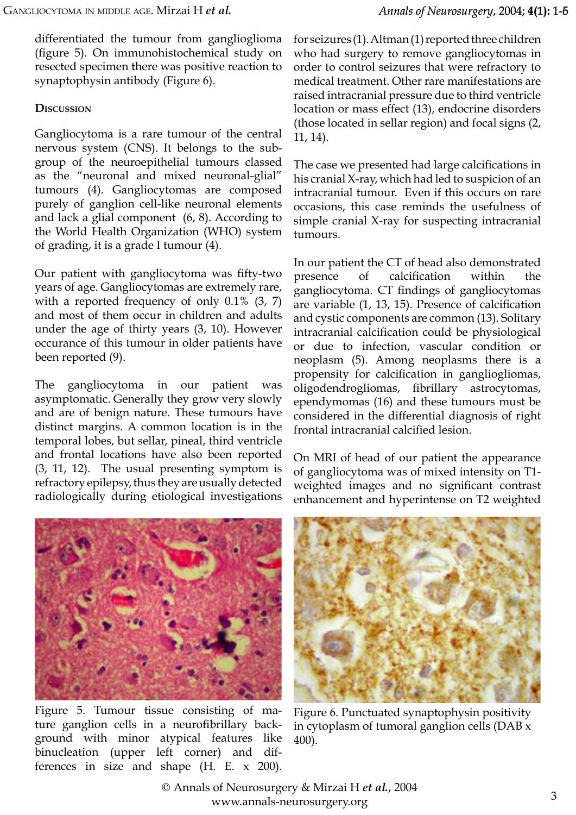differentiated the tumour from ganglioglioma (figure 5). On immunohistochemical study on resected specimen there was positive reaction to synaptophysin antibody (Figure 6).

# **DISCUSSION**

Gangliocytoma is a rare tumour of the central nervous system (CNS). It belongs to the subgroup of the neuroepithelial tumours classed as the "neuronal and mixed neuronal-glial" tumours (4). Gangliocytomas are composed purely of ganglion cell-like neuronal elements and lack a glial component (6, 8). According to the World Health Organization (WHO) system of grading, it is a grade I tumour (4).

Our patient with gangliocytoma was fifty-two years of age. Gangliocytomas are extremely rare, with a reported frequency of only 0.1% (3, 7) and most of them occur in children and adults under the age of thirty years (3, 10). However occurance of this tumour in older patients have been reported (9).

The gangliocytoma in our patient was asymptomatic. Generally they grow very slowly and are of benign nature. These tumours have distinct margins. A common location is in the temporal lobes, but sellar, pineal, third ventricle and frontal locations have also been reported (3, 11, 12). The usual presenting symptom is refractory epilepsy, thus they are usually detected radiologically during etiological investigations for seizures (1). Altman (1) reported three children who had surgery to remove gangliocytomas in order to control seizures that were refractory to medical treatment. Other rare manifestations are raised intracranial pressure due to third ventricle location or mass effect (13), endocrine disorders (those located in sellar region) and focal signs (2, 11, 14).

The case we presented had large calcifications in his cranial X-ray, which had led to suspicion of an intracranial tumour. Even if this occurs on rare occasions, this case reminds the usefulness of simple cranial X-ray for suspecting intracranial tumours.

In our patient the CT of head also demonstrated presence of calcification within the gangliocytoma. CT findings of gangliocytomas are variable (1, 13, 15). Presence of calcification and cystic components are common (13). Solitary intracranial calcification could be physiological or due to infection, vascular condition or neoplasm (5). Among neoplasms there is a propensity for calcification in gangliogliomas, oligodendrogliomas, fibrillary astrocytomas, ependymomas (16) and these tumours must be considered in the differential diagnosis of right frontal intracranial calcified lesion.

On MRI of head of our patient the appearance of gangliocytoma was of mixed intensity on T1 weighted images and no significant contrast enhancement and hyperintense on T2 weighted



Figure 5. Tumour tissue consisting of mature ganglion cells in a neurofibrillary background with minor atypical features like binucleation (upper left corner) and differences in size and shape (H. E. x 200).



Figure 6. Punctuated synaptophysin positivity in cytoplasm of tumoral ganglion cells (DAB x 400).

© Annals of Neurosurgery & Mirzai H *et al.*, 2004 [www.annals-neurosurgery.org](http://www.annals-neurosurgery.org)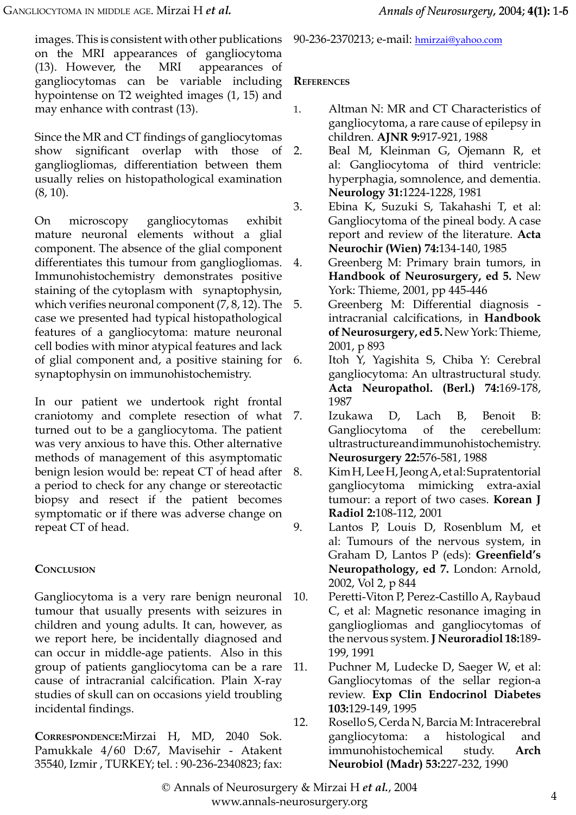images. This is consistent with other publications on the MRI appearances of gangliocytoma (13). However, the MRI appearances of gangliocytomas can be variable including hypointense on T2 weighted images (1, 15) and may enhance with contrast (13).

Since the MR and CT findings of gangliocytomas show significant overlap with those gangliogliomas, differentiation between them usually relies on histopathological examination (8, 10).

On microscopy gangliocytomas exhibit mature neuronal elements without a glial component. The absence of the glial component differentiates this tumour from gangliogliomas. Immunohistochemistry demonstrates positive staining of the cytoplasm with synaptophysin, which verifies neuronal component (7, 8, 12). The case we presented had typical histopathological features of a gangliocytoma: mature neuronal cell bodies with minor atypical features and lack of glial component and, a positive staining for synaptophysin on immunohistochemistry.

In our patient we undertook right frontal craniotomy and complete resection of what turned out to be a gangliocytoma. The patient was very anxious to have this. Other alternative methods of management of this asymptomatic benign lesion would be: repeat CT of head after a period to check for any change or stereotactic biopsy and resect if the patient becomes symptomatic or if there was adverse change on repeat CT of head.

# **CONCLUSION**

Gangliocytoma is a very rare benign neuronal tumour that usually presents with seizures in children and young adults. It can, however, as we report here, be incidentally diagnosed and can occur in middle-age patients. Also in this group of patients gangliocytoma can be a rare cause of intracranial calcification. Plain X-ray studies of skull can on occasions yield troubling incidental findings.

**CORRESPONDENCE:**Mirzai H, MD, 2040 Sok. Pamukkale 4/60 D:67, Mavisehir - Atakent 35540, Izmir , TURKEY; tel. : 90-236-2340823; fax:

90-236-2370213; e-mail: [hmirzai@yahoo.com](mailto:hmirzai@yahoo.com)

## **REFERENCES**

- 1. Altman N: MR and CT Characteristics of gangliocytoma, a rare cause of epilepsy in children. **AJNR 9:**917-921, 1988
- 2. Beal M, Kleinman G, Ojemann R, et al: Gangliocytoma of third ventricle: hyperphagia, somnolence, and dementia. **Neurology 31:**1224-1228, 1981
- 3. Ebina K, Suzuki S, Takahashi T, et al: Gangliocytoma of the pineal body. A case report and review of the literature. **Acta Neurochir (Wien) 74:**134-140, 1985
- 4. Greenberg M: Primary brain tumors, in **Handbook of Neurosurgery, ed 5.** New York: Thieme, 2001, pp 445-446
- 5. Greenberg M: Differential diagnosis intracranial calcifications, in **Handbook of Neurosurgery, ed 5.** New York: Thieme, 2001, p 893
- 6. Itoh Y, Yagishita S, Chiba Y: Cerebral gangliocytoma: An ultrastructural study. **Acta Neuropathol. (Berl.) 74:**169-178, 1987
- 7. Izukawa D, Lach B, Benoit B: Gangliocytoma of the cerebellum: ultrastructure and immunohistochemistry. **Neurosurgery 22:**576-581, 1988
- 8. Kim H, Lee H, Jeong A, et al: Supratentorial gangliocytoma mimicking extra-axial tumour: a report of two cases. **Korean J Radiol 2:**108-112, 2001
- 9. Lantos P, Louis D, Rosenblum M, et al: Tumours of the nervous system, in Graham D, Lantos P (eds): **Greenfield's Neuropathology, ed 7.** London: Arnold, 2002, Vol 2, p 844
- 10. Peretti-Viton P, Perez-Castillo A, Raybaud C, et al: Magnetic resonance imaging in gangliogliomas and gangliocytomas of the nervous system. **J Neuroradiol 18:**189- 199, 1991
- 11. Puchner M, Ludecke D, Saeger W, et al: Gangliocytomas of the sellar region-a review. **Exp Clin Endocrinol Diabetes 103:**129-149, 1995
- 12. Rosello S, Cerda N, Barcia M: Intracerebral gangliocytoma: a histological and immunohistochemical study. **Arch Neurobiol (Madr) 53:**227-232, 1990

© Annals of Neurosurgery & Mirzai H *et al.*, 2004 [www.annals-neurosurgery.org](http://www.annals-neurosurgery.org)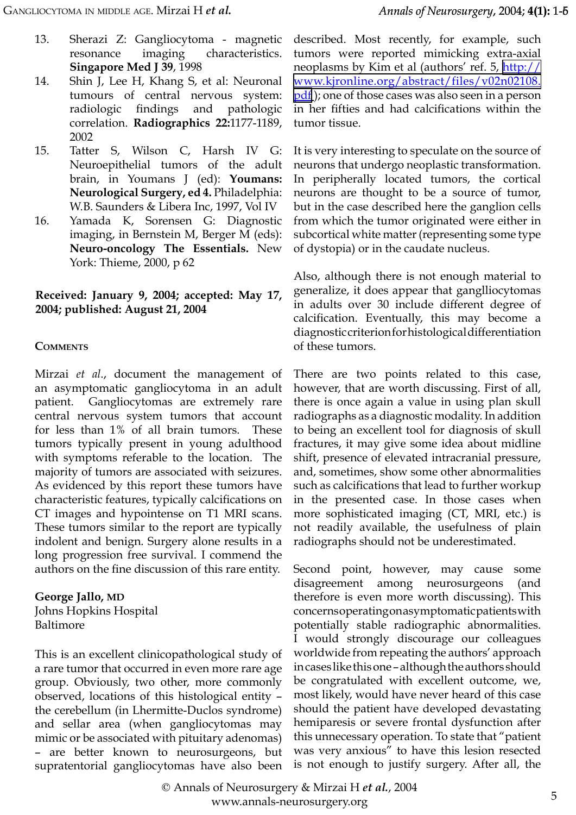- 13. Sherazi Z: Gangliocytoma magnetic resonance imaging characteristics. **Singapore Med J 39**, 1998
- 14. Shin J, Lee H, Khang S, et al: Neuronal tumours of central nervous system: radiologic findings and pathologic correlation. **Radiographics 22:**1177-1189, 2002
- 15. Tatter S, Wilson C, Harsh IV G: Neuroepithelial tumors of the adult brain, in Youmans J (ed): **Youmans: Neurological Surgery, ed 4.** Philadelphia: W.B. Saunders & Libera Inc, 1997, Vol IV
- 16. Yamada K, Sorensen G: Diagnostic imaging, in Bernstein M, Berger M (eds): **Neuro-oncology The Essentials.** New York: Thieme, 2000, p 62

**Received: January 9, 2004; accepted: May 17, 2004; published: August 21, 2004**

### **COMMENTS**

Mirzai *et al*., document the management of an asymptomatic gangliocytoma in an adult patient. Gangliocytomas are extremely rare central nervous system tumors that account for less than 1% of all brain tumors. These tumors typically present in young adulthood with symptoms referable to the location. The majority of tumors are associated with seizures. As evidenced by this report these tumors have characteristic features, typically calcifications on CT images and hypointense on T1 MRI scans. These tumors similar to the report are typically indolent and benign. Surgery alone results in a long progression free survival. I commend the authors on the fine discussion of this rare entity.

**George Jallo, MD** Johns Hopkins Hospital

Baltimore

This is an excellent clinicopathological study of a rare tumor that occurred in even more rare age group. Obviously, two other, more commonly observed, locations of this histological entity – the cerebellum (in Lhermitte-Duclos syndrome) and sellar area (when gangliocytomas may mimic or be associated with pituitary adenomas) – are better known to neurosurgeons, but supratentorial gangliocytomas have also been described. Most recently, for example, such tumors were reported mimicking extra-axial neoplasms by Kim et al (authors' ref. 5, [http://](http://www.kjronline.org/abstract/files/v02n02108.pdf) [www.kjronline.org/abstract/files/v02n02108.](http://www.kjronline.org/abstract/files/v02n02108.pdf) [pdf](http://www.kjronline.org/abstract/files/v02n02108.pdf)); one of those cases was also seen in a person in her fifties and had calcifications within the tumor tissue.

It is very interesting to speculate on the source of neurons that undergo neoplastic transformation. In peripherally located tumors, the cortical neurons are thought to be a source of tumor, but in the case described here the ganglion cells from which the tumor originated were either in subcortical white matter (representing some type of dystopia) or in the caudate nucleus.

Also, although there is not enough material to generalize, it does appear that ganglliocytomas in adults over 30 include different degree of calcification. Eventually, this may become a diagnostic criterion for histological differentiation of these tumors.

There are two points related to this case, however, that are worth discussing. First of all, there is once again a value in using plan skull radiographs as a diagnostic modality. In addition to being an excellent tool for diagnosis of skull fractures, it may give some idea about midline shift, presence of elevated intracranial pressure, and, sometimes, show some other abnormalities such as calcifications that lead to further workup in the presented case. In those cases when more sophisticated imaging (CT, MRI, etc.) is not readily available, the usefulness of plain radiographs should not be underestimated.

Second point, however, may cause some disagreement among neurosurgeons (and therefore is even more worth discussing). This concerns operating on asymptomatic patients with potentially stable radiographic abnormalities. I would strongly discourage our colleagues worldwide from repeating the authors' approach in cases like this one – although the authors should be congratulated with excellent outcome, we, most likely, would have never heard of this case should the patient have developed devastating hemiparesis or severe frontal dysfunction after this unnecessary operation. To state that "patient was very anxious" to have this lesion resected is not enough to justify surgery. After all, the

© Annals of Neurosurgery & Mirzai H *et al.*, 2004 [www.annals-neurosurgery.org](http://www.annals-neurosurgery.org)